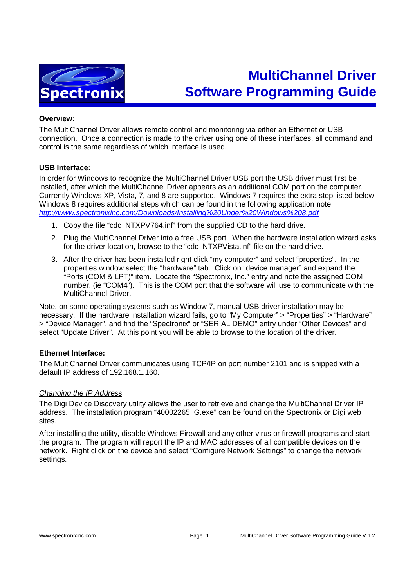

# **MultiChannel Driver Software Programming Guide**

## **Overview:**

The MultiChannel Driver allows remote control and monitoring via either an Ethernet or USB connection. Once a connection is made to the driver using one of these interfaces, all command and control is the same regardless of which interface is used.

### **USB Interface:**

In order for Windows to recognize the MultiChannel Driver USB port the USB driver must first be installed, after which the MultiChannel Driver appears as an additional COM port on the computer. Currently Windows XP, Vista, 7, and 8 are supported. Windows 7 requires the extra step listed below; Windows 8 requires additional steps which can be found in the following application note: http://www.spectronixinc.com/Downloads/Installing%20Under%20Windows%208.pdf

- 1. Copy the file "cdc\_NTXPV764.inf" from the supplied CD to the hard drive.
- 2. Plug the MultiChannel Driver into a free USB port. When the hardware installation wizard asks for the driver location, browse to the "cdc\_NTXPVista.inf" file on the hard drive.
- 3. After the driver has been installed right click "my computer" and select "properties". In the properties window select the "hardware" tab. Click on "device manager" and expand the "Ports (COM & LPT)" item. Locate the "Spectronix, Inc." entry and note the assigned COM number, (ie "COM4"). This is the COM port that the software will use to communicate with the MultiChannel Driver.

Note, on some operating systems such as Window 7, manual USB driver installation may be necessary. If the hardware installation wizard fails, go to "My Computer" > "Properties" > "Hardware" > "Device Manager", and find the "Spectronix" or "SERIAL DEMO" entry under "Other Devices" and select "Update Driver". At this point you will be able to browse to the location of the driver.

## **Ethernet Interface:**

The MultiChannel Driver communicates using TCP/IP on port number 2101 and is shipped with a default IP address of 192.168.1.160.

#### Changing the IP Address

The Digi Device Discovery utility allows the user to retrieve and change the MultiChannel Driver IP address. The installation program "40002265\_G.exe" can be found on the Spectronix or Digi web sites.

After installing the utility, disable Windows Firewall and any other virus or firewall programs and start the program. The program will report the IP and MAC addresses of all compatible devices on the network. Right click on the device and select "Configure Network Settings" to change the network settings.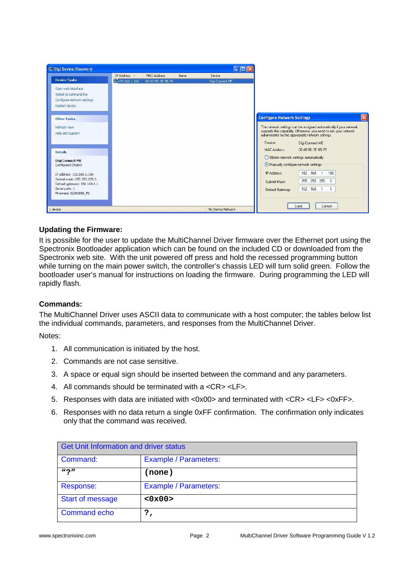

# **Updating the Firmware:**

It is possible for the user to update the MultiChannel Driver firmware over the Ethernet port using the Spectronix Bootloader application which can be found on the included CD or downloaded from the Spectronix web site. With the unit powered off press and hold the recessed programming button while turning on the main power switch, the controller's chassis LED will turn solid green. Follow the bootloader user's manual for instructions on loading the firmware. During programming the LED will rapidly flash.

## **Commands:**

The MultiChannel Driver uses ASCII data to communicate with a host computer; the tables below list the individual commands, parameters, and responses from the MultiChannel Driver.

Notes:

- 1. All communication is initiated by the host.
- 2. Commands are not case sensitive.
- 3. A space or equal sign should be inserted between the command and any parameters.
- 4. All commands should be terminated with a <CR> <LF>.
- 5. Responses with data are initiated with <0x00> and terminated with <CR> <LF> <0xFF>.
- 6. Responses with no data return a single 0xFF confirmation. The confirmation only indicates only that the command was received.

| <b>Get Unit Information and driver status</b> |                       |
|-----------------------------------------------|-----------------------|
| Command:                                      | Example / Parameters: |
| $\mathbf{u} \cdot \mathbf{v}$                 | (none)                |
| Response:                                     | Example / Parameters: |
| <b>Start of message</b>                       | <0x00                 |
| <b>Command echo</b>                           | ?,                    |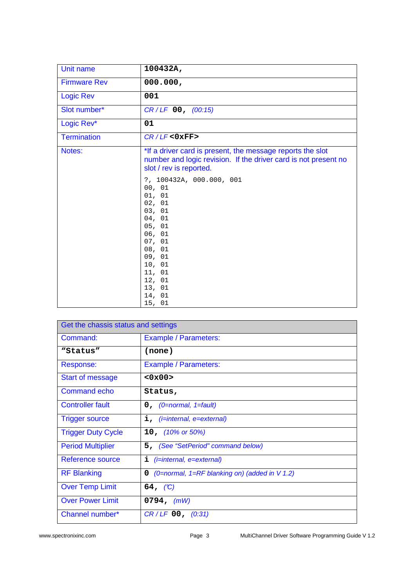| Unit name           | 100432A,                                                                                                                                                                                 |
|---------------------|------------------------------------------------------------------------------------------------------------------------------------------------------------------------------------------|
| <b>Firmware Rev</b> | 000.000,                                                                                                                                                                                 |
| <b>Logic Rev</b>    | 001                                                                                                                                                                                      |
| Slot number*        | $CR/LF$ 00, (00:15)                                                                                                                                                                      |
| Logic Rev*          | 01                                                                                                                                                                                       |
| <b>Termination</b>  | $CR/LF <0$ xFF>                                                                                                                                                                          |
| Notes:              | *If a driver card is present, the message reports the slot<br>number and logic revision. If the driver card is not present no<br>slot / rev is reported.                                 |
|                     | ?, 100432A, 000.000, 001<br>00, 01<br>01, 01<br>02, 01<br>03, 01<br>04, 01<br>05, 01<br>06, 01<br>07, 01<br>08, 01<br>09, 01<br>10, 01<br>11, 01<br>12, 01<br>13, 01<br>14, 01<br>15, 01 |

| Get the chassis status and settings |                                                         |
|-------------------------------------|---------------------------------------------------------|
| Command:                            | Example / Parameters:                                   |
| "Status"                            | (none)                                                  |
| Response:                           | Example / Parameters:                                   |
| Start of message                    | <0x00>                                                  |
| <b>Command echo</b>                 | Status,                                                 |
| <b>Controller fault</b>             | $0$ , (0=normal, 1=fault)                               |
| <b>Trigger source</b>               | $i,$ ( <i>i</i> =internal, e=external)                  |
| <b>Trigger Duty Cycle</b>           | 10, $(10\% \text{ or } 50\%)$                           |
| <b>Period Multiplier</b>            | 5, (See "SetPeriod" command below)                      |
| Reference source                    | $(i=internal, e=external)$<br>i.                        |
| <b>RF Blanking</b>                  | (0=normal, 1= $RF$ blanking on) (added in $V$ 1.2)<br>0 |
| <b>Over Temp Limit</b>              | 64, $(C)$                                               |
| <b>Over Power Limit</b>             | 0794, $(mW)$                                            |
| Channel number*                     | $CR/LF$ 00, (0:31)                                      |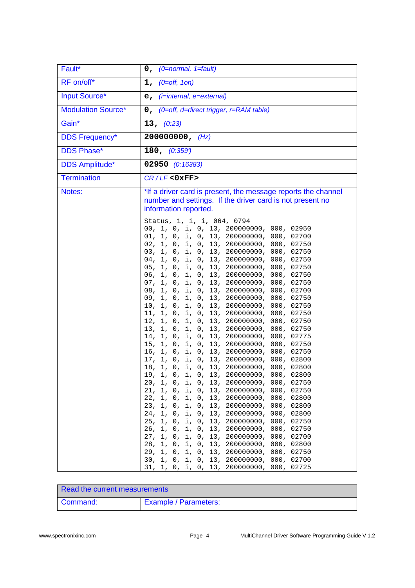| Fault*                    | $0$ , (0=normal, 1=fault)                                                                                                                                                                                                                                                                                                                                            |
|---------------------------|----------------------------------------------------------------------------------------------------------------------------------------------------------------------------------------------------------------------------------------------------------------------------------------------------------------------------------------------------------------------|
| RF on/off*                | $1, (0=off, 10n)$                                                                                                                                                                                                                                                                                                                                                    |
| <b>Input Source*</b>      | $e,$ (i=internal, e=external)                                                                                                                                                                                                                                                                                                                                        |
| <b>Modulation Source*</b> | 0, (0=off, d=direct trigger, r=RAM table)                                                                                                                                                                                                                                                                                                                            |
| Gain*                     | 13, (0.23)                                                                                                                                                                                                                                                                                                                                                           |
| <b>DDS Frequency*</b>     | 200000000, $(Hz)$                                                                                                                                                                                                                                                                                                                                                    |
| <b>DDS Phase*</b>         | 180, $(0.359)$                                                                                                                                                                                                                                                                                                                                                       |
| <b>DDS Amplitude*</b>     | 02950 (0:16383)                                                                                                                                                                                                                                                                                                                                                      |
| <b>Termination</b>        | $CR/LF <0$ xFF>                                                                                                                                                                                                                                                                                                                                                      |
| Notes:                    | *If a driver card is present, the message reports the channel<br>number and settings. If the driver card is not present no<br>information reported.<br>Status, 1, i, i, 064, 0794<br>00, 1, 0, i, 0, 13, 200000000, 000, 02950<br>01, 1, 0, i, 0, 13, 200000000, 000, 02700                                                                                          |
|                           | 02, 1, 0, i, 0, 13, 200000000, 000, 02750<br>03, 1, 0, i, 0, 13, 200000000, 000, 02750<br>04, 1, 0, i, 0, 13, 200000000, 000, 02750<br>05, 1, 0, i, 0, 13, 200000000, 000, 02750<br>06, 1, 0, i, 0, 13, 200000000, 000, 02750<br>07, 1, 0, i, 0, 13, 200000000, 000, 02750<br>08, 1, 0, i, 0, 13, 200000000, 000, 02700<br>09, 1, 0, i, 0, 13, 200000000, 000, 02750 |
|                           | 10, 1, 0, i, 0, 13, 200000000, 000, 02750<br>11, 1, 0, i, 0, 13, 200000000, 000, 02750<br>12, 1, 0, i, 0, 13, 200000000, 000, 02750<br>13, 1, 0, i, 0, 13, 200000000, 000, 02750<br>14, 1, 0, i, 0, 13, 200000000, 000, 02775<br>15, 1, 0, i, 0, 13, 200000000, 000, 02750<br>16, 1, 0, i, 0, 13, 200000000, 000, 02750                                              |
|                           | 17, 1, 0, i, 0, 13, 200000000, 000, 02800<br>18, 1, 0, i, 0, 13, 200000000, 000, 02800<br>19. 1, 0, i, 0, 13, 200000000, 000, 02800<br>20, 1, 0, i, 0, 13, 200000000, 000, 02750<br>21, 1, 0, i, 0, 13, 200000000, 000, 02750<br>22, 1, 0, i, 0, 13, 200000000, 000, 02800<br>23, 1, 0, i, 0, 13, 200000000, 000, 02800                                              |
|                           | 24, 1, 0, i, 0, 13, 200000000, 000, 02800<br>25, 1, 0, i, 0, 13, 200000000, 000, 02750<br>26, 1, 0, i, 0, 13, 200000000, 000, 02750<br>27, 1, 0, i, 0, 13, 200000000, 000, 02700<br>28, 1, 0, i, 0, 13, 200000000, 000, 02800<br>29, 1, 0, i, 0, 13, 200000000, 000, 02750<br>30, 1, 0, i, 0, 13, 200000000, 000, 02700<br>31, 1, 0, i, 0, 13, 200000000, 000, 02725 |

| Read the current measurements |                       |
|-------------------------------|-----------------------|
| Command:                      | Example / Parameters: |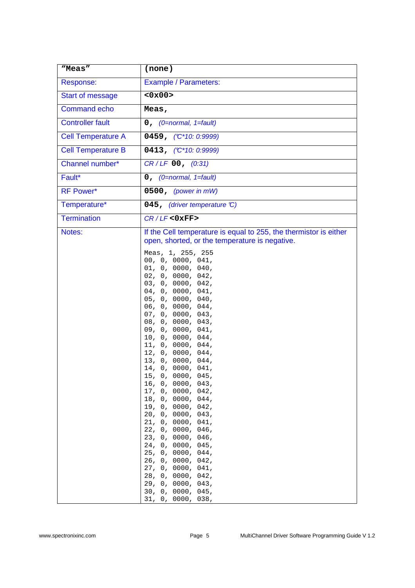| "Meas"                    | (none)                                                                                                                                                                                                                                                                                                                                                                                                      |
|---------------------------|-------------------------------------------------------------------------------------------------------------------------------------------------------------------------------------------------------------------------------------------------------------------------------------------------------------------------------------------------------------------------------------------------------------|
| Response:                 | <b>Example / Parameters:</b>                                                                                                                                                                                                                                                                                                                                                                                |
| <b>Start of message</b>   | <0x00                                                                                                                                                                                                                                                                                                                                                                                                       |
| <b>Command echo</b>       | Meas,                                                                                                                                                                                                                                                                                                                                                                                                       |
| <b>Controller fault</b>   | $0,$ (0=normal, 1=fault)                                                                                                                                                                                                                                                                                                                                                                                    |
| <b>Cell Temperature A</b> | 0459, $({\mathbb C}^*10: 0:9999)$                                                                                                                                                                                                                                                                                                                                                                           |
| <b>Cell Temperature B</b> | 0413, $(C*10: 0:9999)$                                                                                                                                                                                                                                                                                                                                                                                      |
| Channel number*           | $CR/LF$ 00, $(0:31)$                                                                                                                                                                                                                                                                                                                                                                                        |
| Fault*                    | $0,$ (0=normal, 1=fault)                                                                                                                                                                                                                                                                                                                                                                                    |
| <b>RF Power*</b>          | $0500$ , (power in mW)                                                                                                                                                                                                                                                                                                                                                                                      |
| Temperature*              | 045, (driver temperature C)                                                                                                                                                                                                                                                                                                                                                                                 |
| <b>Termination</b>        | $CR/LF <0$ xFF>                                                                                                                                                                                                                                                                                                                                                                                             |
| Notes:                    | If the Cell temperature is equal to 255, the thermistor is either<br>open, shorted, or the temperature is negative.<br>Meas, 1, 255, 255<br>00, 0, 0000, 041,                                                                                                                                                                                                                                               |
|                           | 01, 0, 0000, 040,<br>02, 0, 0000, 042,<br>03, 0, 0000, 042,<br>04, 0, 0000, 041,<br>05, 0, 0000, 040,<br>06, 0, 0000, 044,<br>07, 0, 0000, 043,<br>08, 0, 0000, 043,<br>09, 0, 0000, 041,<br>10, 0, 0000, 044,<br>11, 0, 0000, 044,<br>12, 0, 0000, 044,                                                                                                                                                    |
|                           | 13, 0, 0000, 044,<br>14, 0, 0000, 041,<br>15, 0, 0000, 045,<br>16, 0, 0000, 043,<br>17, 0, 0000, 042,<br>18, 0, 0000, 044,<br>19, 0, 0000, 042,<br>20, 0, 0000, 043,<br>21, 0, 0000, 041,<br>22, 0, 0000, 046,<br>23, 0, 0000, 046,<br>24, 0, 0000, 045,<br>25, 0, 0000, 044,<br>26, 0, 0000, 042,<br>27, 0, 0000, 041,<br>28, 0, 0000, 042,<br>29, 0, 0000, 043,<br>30, 0, 0000, 045,<br>31, 0, 0000, 038, |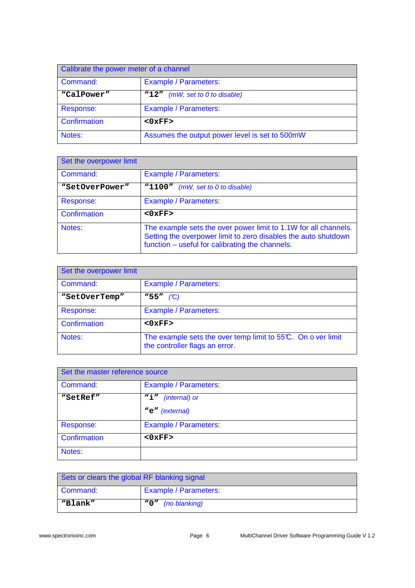| Calibrate the power meter of a channel |                                                |
|----------------------------------------|------------------------------------------------|
| Command:                               | <b>Example / Parameters:</b>                   |
| "CalPower"                             | "12" (mW, set to 0 to disable)                 |
| Response:                              | Example / Parameters:                          |
| Confirmation                           | $<0$ $xFF$                                     |
| Notes:                                 | Assumes the output power level is set to 500mW |

| Set the overpower limit |                                                                                                                                                                                      |
|-------------------------|--------------------------------------------------------------------------------------------------------------------------------------------------------------------------------------|
| Command:                | Example / Parameters:                                                                                                                                                                |
| "SetOverPower"          | "1100"<br>(mW, set to 0 to disable)                                                                                                                                                  |
| Response:               | <b>Example / Parameters:</b>                                                                                                                                                         |
| Confirmation            | $<0$ $xFF$                                                                                                                                                                           |
| Notes:                  | The example sets the over power limit to 1.1W for all channels.<br>Setting the overpower limit to zero disables the auto shutdown<br>function - useful for calibrating the channels. |

| Set the overpower limit |                                                                                               |
|-------------------------|-----------------------------------------------------------------------------------------------|
| Command:                | <b>Example / Parameters:</b>                                                                  |
| "SetOverTemp"           | $W55''$ (C)                                                                                   |
| Response:               | Example / Parameters:                                                                         |
| Confirmation            | $<0$ $xFF$                                                                                    |
| Notes:                  | The example sets the over temp limit to 55°C. On over limit<br>the controller flags an error. |

| Set the master reference source |                                   |
|---------------------------------|-----------------------------------|
| Command:                        | <b>Example / Parameters:</b>      |
| "SetRef"                        | $\mathbf{N}_1$ "<br>(internal) or |
|                                 | "e" (external)                    |
| Response:                       | <b>Example / Parameters:</b>      |
| Confirmation                    | $<0$ $xFF$ >                      |
| Notes:                          |                                   |

| Sets or clears the global RF blanking signal |                              |
|----------------------------------------------|------------------------------|
| Command:                                     | <b>Example / Parameters:</b> |
| "Blank"                                      | "0" <i>(no blanking)</i>     |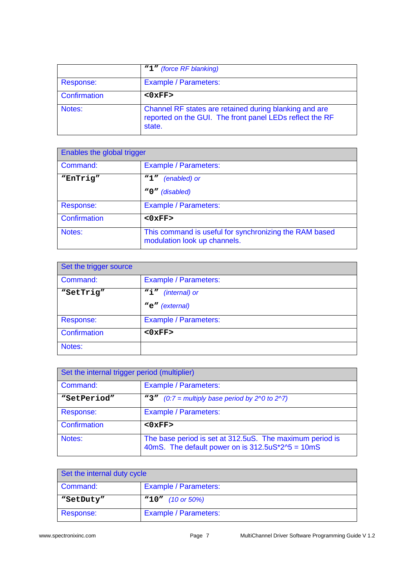|              | "1" (force RF blanking)                                                                                                      |
|--------------|------------------------------------------------------------------------------------------------------------------------------|
| Response:    | Example / Parameters:                                                                                                        |
| Confirmation | $<0$ $xFF$ >                                                                                                                 |
| Notes:       | Channel RF states are retained during blanking and are<br>reported on the GUI. The front panel LEDs reflect the RF<br>state. |

| Enables the global trigger |                                                                                        |
|----------------------------|----------------------------------------------------------------------------------------|
| Command:                   | Example / Parameters:                                                                  |
| "EnTrig"                   | "1"<br>(enabled) or                                                                    |
|                            | "0" (disabled)                                                                         |
| Response:                  | Example / Parameters:                                                                  |
| Confirmation               | $<0$ $xFF$                                                                             |
| Notes:                     | This command is useful for synchronizing the RAM based<br>modulation look up channels. |

| Set the trigger source |                       |
|------------------------|-----------------------|
| Command:               | Example / Parameters: |
| "SetTrig"              | ``i"<br>(internal) or |
|                        | "e" (external)        |
| Response:              | Example / Parameters: |
| Confirmation           | $<0$ $xFF$            |
| Notes:                 |                       |

| Set the internal trigger period (multiplier) |                                                                                                                  |
|----------------------------------------------|------------------------------------------------------------------------------------------------------------------|
| Command:                                     | <b>Example / Parameters:</b>                                                                                     |
| "SetPeriod"                                  | "3" $(0.7 =$ multiply base period by 2^0 to 2^7)                                                                 |
| Response:                                    | <b>Example / Parameters:</b>                                                                                     |
| Confirmation                                 | $<0$ $xFF$                                                                                                       |
| Notes:                                       | The base period is set at 312.5uS. The maximum period is<br>40mS. The default power on is $312.5uS*2^{6} = 10mS$ |

| Set the internal duty cycle |                       |
|-----------------------------|-----------------------|
| Command:                    | Example / Parameters: |
| "SetDuty"                   | $"10"$ (10 or 50%)    |
| Response:                   | Example / Parameters: |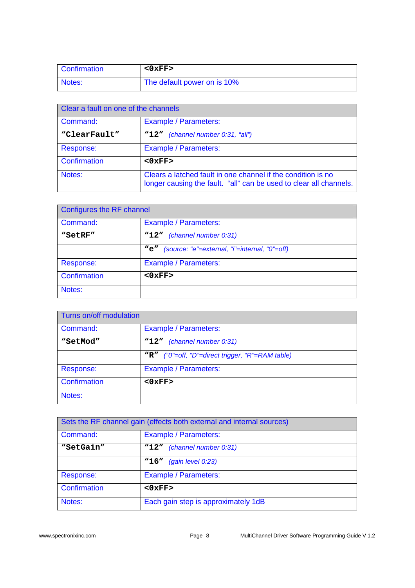| <b>Confirmation</b> | $<$ 0xFF>                   |
|---------------------|-----------------------------|
| Notes:              | The default power on is 10% |

| Clear a fault on one of the channels |                                                                                                                                    |
|--------------------------------------|------------------------------------------------------------------------------------------------------------------------------------|
| Command:                             | Example / Parameters:                                                                                                              |
| "ClearFault"                         | "12" (channel number 0:31, "all")                                                                                                  |
| Response:                            | Example / Parameters:                                                                                                              |
| Confirmation                         | $<0$ $xFF$                                                                                                                         |
| Notes:                               | Clears a latched fault in one channel if the condition is no<br>longer causing the fault. "all" can be used to clear all channels. |

| Configures the RF channel |                                                      |
|---------------------------|------------------------------------------------------|
| Command:                  | Example / Parameters:                                |
| "SetRF"                   | (channel number 0:31)<br>$M_{12}$                    |
|                           | (source: "e"=external, "i"=internal, "0"=off)<br>"e" |
| Response:                 | Example / Parameters:                                |
| Confirmation              | $<0$ $xFF$                                           |
| Notes:                    |                                                      |

| Turns on/off modulation |                                                  |
|-------------------------|--------------------------------------------------|
| Command:                | Example / Parameters:                            |
| "SetMod"                | "12" (channel number 0:31)                       |
|                         | "R" ("0"=off, "D"=direct trigger, "R"=RAM table) |
| Response:               | <b>Example / Parameters:</b>                     |
| Confirmation            | $<0$ $xFF$                                       |
| Notes:                  |                                                  |

| Sets the RF channel gain (effects both external and internal sources) |                                     |
|-----------------------------------------------------------------------|-------------------------------------|
| Command:                                                              | Example / Parameters:               |
| "SetGain"                                                             | "12" (channel number 0:31)          |
|                                                                       | (gain level 0:23)<br>"16"           |
| Response:                                                             | Example / Parameters:               |
| Confirmation                                                          | $<0$ $xFF$                          |
| Notes:                                                                | Each gain step is approximately 1dB |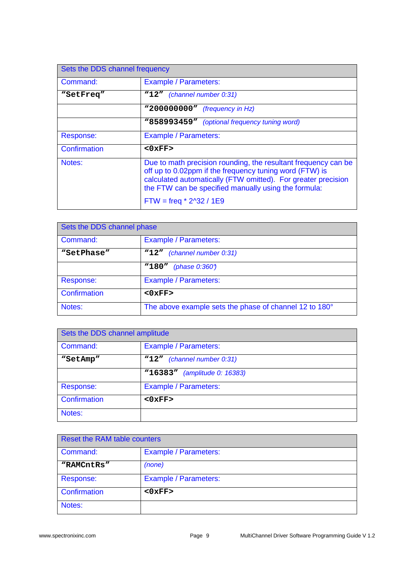| Sets the DDS channel frequency |                                                                                                                                                                                                                                                                                 |
|--------------------------------|---------------------------------------------------------------------------------------------------------------------------------------------------------------------------------------------------------------------------------------------------------------------------------|
| Command:                       | <b>Example / Parameters:</b>                                                                                                                                                                                                                                                    |
| "SetFreq"                      | "12" (channel number 0:31)                                                                                                                                                                                                                                                      |
|                                | "200000000" (frequency in Hz)                                                                                                                                                                                                                                                   |
|                                | "858993459" (optional frequency tuning word)                                                                                                                                                                                                                                    |
| Response:                      | <b>Example / Parameters:</b>                                                                                                                                                                                                                                                    |
| Confirmation                   | $<0$ $x$ FF $>$                                                                                                                                                                                                                                                                 |
| Notes:                         | Due to math precision rounding, the resultant frequency can be<br>off up to 0.02ppm if the frequency tuning word (FTW) is<br>calculated automatically (FTW omitted). For greater precision<br>the FTW can be specified manually using the formula:<br>$FTW = freq * 2^32 / 1E9$ |

| Sets the DDS channel phase |                                                        |
|----------------------------|--------------------------------------------------------|
| Command:                   | Example / Parameters:                                  |
| "SetPhase"                 | (channel number 0:31)<br>"12"                          |
|                            | "180"<br>(phase $0.360$ )                              |
| Response:                  | <b>Example / Parameters:</b>                           |
| Confirmation               | <0xFF                                                  |
| Notes:                     | The above example sets the phase of channel 12 to 180° |

| Sets the DDS channel amplitude |                                 |
|--------------------------------|---------------------------------|
| Command:                       | Example / Parameters:           |
| "SetAmp"                       | (channel number 0:31)<br>"12"   |
|                                | "16383"<br>(amplitude 0: 16383) |
| Response:                      | <b>Example / Parameters:</b>    |
| Confirmation                   | $<0$ $xFF$                      |
| Notes:                         |                                 |

| <b>Reset the RAM table counters</b> |                              |  |
|-------------------------------------|------------------------------|--|
| Command:                            | Example / Parameters:        |  |
| "RAMCntRs"                          | (none)                       |  |
| Response:                           | <b>Example / Parameters:</b> |  |
| Confirmation                        | <0xFF                        |  |
| Notes:                              |                              |  |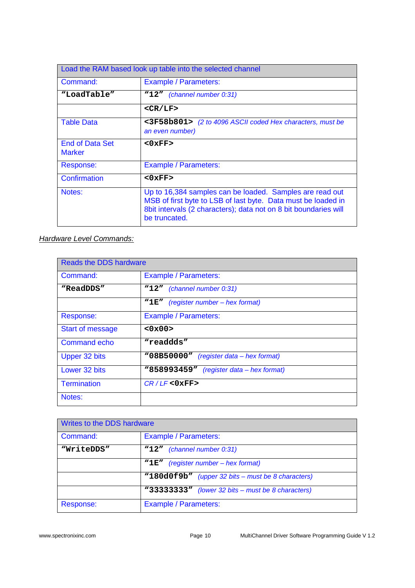| Load the RAM based look up table into the selected channel |                                                                                                                                                                                                                |
|------------------------------------------------------------|----------------------------------------------------------------------------------------------------------------------------------------------------------------------------------------------------------------|
| Command:                                                   | <b>Example / Parameters:</b>                                                                                                                                                                                   |
| "LoadTable"                                                | "12" (channel number 0:31)                                                                                                                                                                                     |
|                                                            | $<$ CR/LF>                                                                                                                                                                                                     |
| <b>Table Data</b>                                          | <3F58b801> (2 to 4096 ASCII coded Hex characters, must be<br>an even number)                                                                                                                                   |
| <b>End of Data Set</b><br><b>Marker</b>                    | $<0$ xFF>                                                                                                                                                                                                      |
| Response:                                                  | <b>Example / Parameters:</b>                                                                                                                                                                                   |
| Confirmation                                               | $<0$ $xFF$ >                                                                                                                                                                                                   |
| Notes:                                                     | Up to 16,384 samples can be loaded. Samples are read out<br>MSB of first byte to LSB of last byte. Data must be loaded in<br>8bit intervals (2 characters); data not on 8 bit boundaries will<br>be truncated. |

# **Hardware Level Commands:**

| <b>Reads the DDS hardware</b> |                                          |  |
|-------------------------------|------------------------------------------|--|
| Command:                      | <b>Example / Parameters:</b>             |  |
| "ReadDDS"                     | "12" (channel number 0:31)               |  |
|                               | "1E"<br>(register number – hex format)   |  |
| Response:                     | <b>Example / Parameters:</b>             |  |
| <b>Start of message</b>       | <0x00>                                   |  |
| <b>Command echo</b>           | "readdds"                                |  |
| Upper 32 bits                 | "08B50000" (register data – hex format)  |  |
| Lower 32 bits                 | "858993459" (register data - hex format) |  |
| <b>Termination</b>            | $CR/LF <0$ xFF>                          |  |
| Notes:                        |                                          |  |

| Writes to the DDS hardware |                                                   |
|----------------------------|---------------------------------------------------|
| Command:                   | <b>Example / Parameters:</b>                      |
| "WriteDDS"                 | "12" (channel number 0:31)                        |
|                            | (register number – hex format)<br>"1e"            |
|                            | "180d0f9b" (upper 32 bits – must be 8 characters) |
|                            | "33333333" (lower 32 bits - must be 8 characters) |
| Response:                  | Example / Parameters:                             |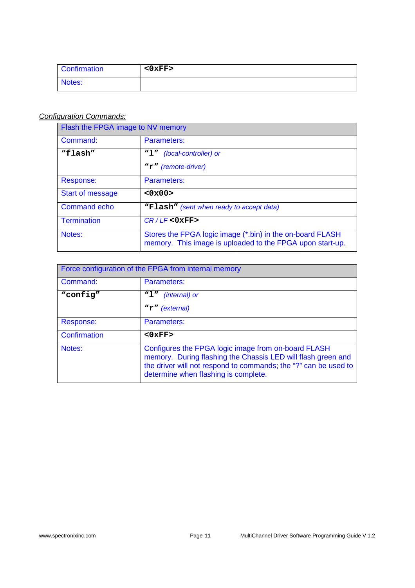| Confirmation | $<$ 0 $\times$ FF $>$ |
|--------------|-----------------------|
| Notes:       |                       |

# Configuration Commands:

| Flash the FPGA image to NV memory |                                                                                                                        |
|-----------------------------------|------------------------------------------------------------------------------------------------------------------------|
| Command:                          | Parameters:                                                                                                            |
| "flash"                           | (local-controller) or<br>"1"<br>"r" (remote-driver)                                                                    |
| Response:                         | Parameters:                                                                                                            |
| <b>Start of message</b>           | <0x00>                                                                                                                 |
| <b>Command echo</b>               | "Flash" (sent when ready to accept data)                                                                               |
| <b>Termination</b>                | $CR/LF <0$ $xFF$ >                                                                                                     |
| Notes:                            | Stores the FPGA logic image (*.bin) in the on-board FLASH<br>memory. This image is uploaded to the FPGA upon start-up. |

| Force configuration of the FPGA from internal memory |                                                                                                                                                                                                                                |
|------------------------------------------------------|--------------------------------------------------------------------------------------------------------------------------------------------------------------------------------------------------------------------------------|
| Command:                                             | Parameters:                                                                                                                                                                                                                    |
| "config"                                             | "1"<br><i>(internal)</i> or                                                                                                                                                                                                    |
|                                                      | $\mathbf{r}$ " (external)                                                                                                                                                                                                      |
| Response:                                            | Parameters:                                                                                                                                                                                                                    |
| Confirmation                                         | $<0$ $xFF$ >                                                                                                                                                                                                                   |
| Notes:                                               | Configures the FPGA logic image from on-board FLASH<br>memory. During flashing the Chassis LED will flash green and<br>the driver will not respond to commands; the "?" can be used to<br>determine when flashing is complete. |